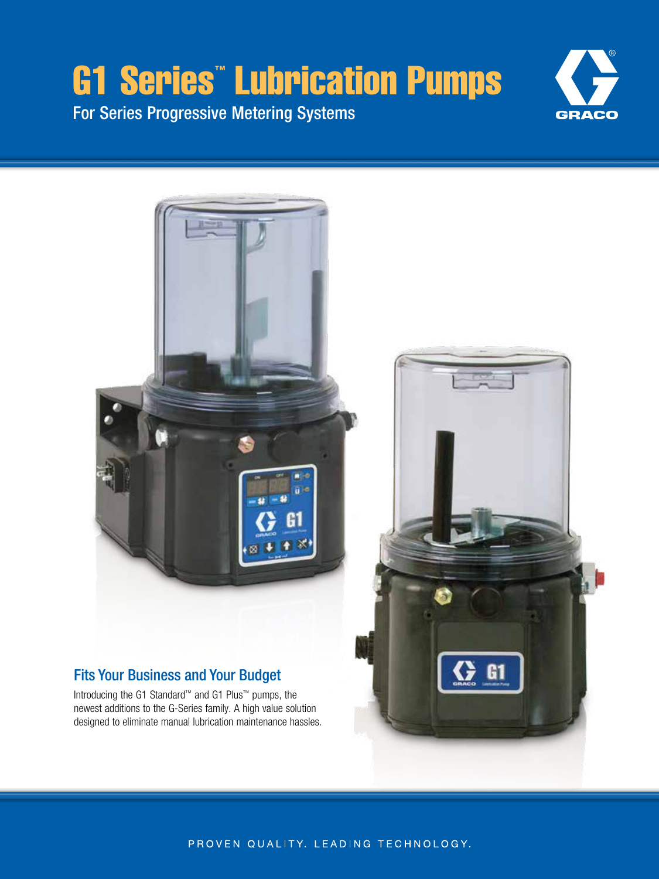# G1 Series™ Lubrication Pumps

For Series Progressive Metering Systems





PROVEN QUALITY. LEADING TECHNOLOGY.